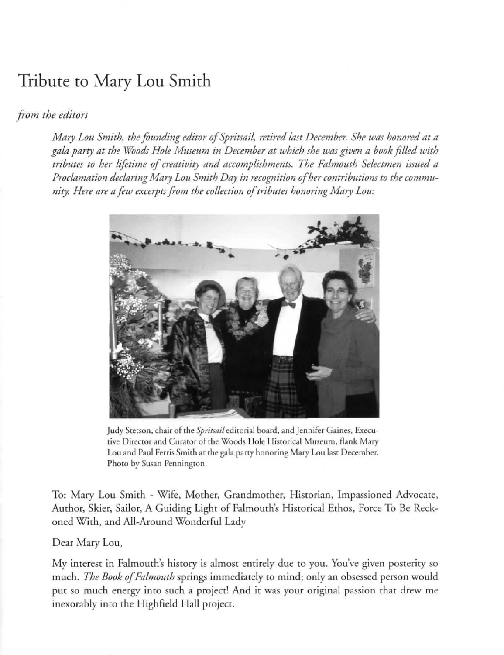# Tribute to Mary Lou Smith

## *from the editors*

*Mary LOll Smith, the follnding editor ofSpritsail, retired last December. She was honored at a*  gala party at the Woods Hole Museum in December at which she was given a book filled with *tributes to her lifetime of creativity and accomplishments. The Falmouth Selectmen issued a* Proclamation declaring Mary Lou Smith Day in recognition of her contributions to the community. Here are a few excerpts from the collection of tributes honoring Mary Lou:



Judy Stetson, chair of the *Spritsail* editorial board, and Jennifer Gaines, Executive Director and Curator of the Woods Hole Historical Museum, flank Mary Lou and Paul Ferris Smith at the gala party honoring Mary Lou last December. **Pharo by Susan Penningron.** 

To: Mary Lou Smith - Wife, Mother, Grandmother, Historian, Impassioned Advocate, Author, Skier, Sailor, A Guiding Light of Falmouth's Historical Ethos, Force To Be Reckoned With, and All-Around Wonderful Lady

#### Dear Mary Lou,

**My interest in Falmouth's history is almost entirely due co you. You've given posterity so**  much. *The Book of Fa/mollth* springs immediately to mind; only an obsessed person would **pur so much energy into such a project! And it was your original passion that drew me**  inexorably into the Highfield Hall project.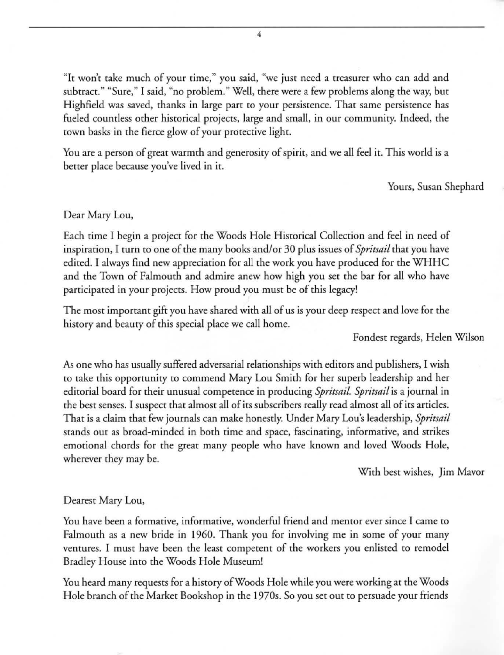**"It won't cake much of your rime," you said, "we just need a treasurer who can add and**  subtract." "Sure," I said, "no problem." Well, there were a few problems along the way, but Highfield was saved, thanks in large part ro your persistence. That same persistence has fueled countless other historical projects, large and small, in our community. Indeed, the rown basks in the fierce glow of your protective light.

You are a person of great warmth and generosity of spirit, and we all feel ir. This world is a berrer place because you've lived in ir.

Yours, Susan Shephard

#### Dear Mary Lou,

Each time I begin a project for the Woods Hole Historical Collection and feel in need of inspiration, I turn to one of the many books and/or 30 plus issues of *Spritsail* that you have edited. I always find new appreciation for all the work you have produced for the WHHC and the Town of Falmouth and admire anew how high you set the bar for all who have participated in your projects. How proud you must be of this legacy!

The most important gift you have shared with all of us is your deep respect and love for the history and beauty of this special place we call home.

Fondest regards, Helen Wilson

As one who has usually suffered adversarial relationships with editors and publishers, I wish to take this opportunity to commend Mary Lou Smith for her superb leadership and her editorial board for their unusual competence in producing *Spritsail. Spritsail* is a journal in the best senses. I suspect that almost all of its subscribers really read almost all of its articles. That is a claim that few journals can make honestly. Under Mary Lou's leadership, *Spritsail*  stands out as broad-minded in both time and space, fascinating, informative, and strikes emotional chords for the great many people who have known and loved Woods Hole, wherever they may be.

With best wishes, Jim Mavor

#### Dearest Mary Lou,

**You have been a formative. informative, wonderful friend and mentor ever since I came to**  Falmouth as a new bride in 1960. Thank you for involving me in some of your many ventures. I must have been the least competent of the workers you enlisted to remodel Bradley House into the Woods Hole Museum!

You heard many requests for a history of Woods Hole while you were working at the Woods Hole branch of the Market Bookshop in the 19705. So you set out to persuade your friends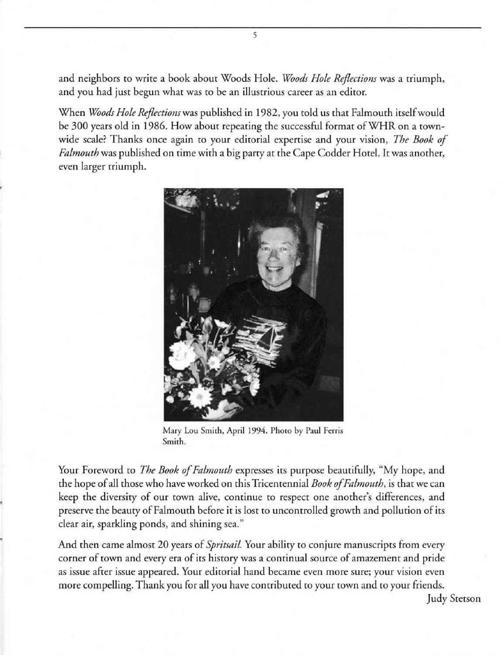and neighbors to write a book about Woods Hole. *Woods Hole Reflections* was a triumph, **and you had just begun what was to be an illustrious career as an editor.** 

5

When *WOods Hole Reflections* was published in 1982, you told us that Falmouth itself would be 300 years old in 1986. How about repeating the successful format of WHR on a townwide scale? Thanks once again to your editorial expertise and your vision, *The Book of Falmouth* was published on time with a big party at the Cape Codder Hotel. It was another, even larger triumph.



**Mary Lou Smith, April 1994. Phoro by Paul Ferris Smith.** 

Your Foreword to *The Book of Falmouth* expresses its purpose beautifully, "My hope, and the hope of all those who have worked on this Tricentennial *Book of Falmouth*, is that we can keep the diversity of our town alive, continue to respect one another's differences, and preserve the beauty of Falmouth before it is lost to uncontrolled growth and pollution of its **clear air, sparkling ponds, and shining sea ."** 

And then came almost 20 years of *Spritsail*. Your ability to conjure manuscripts from every **corner of town and every era of its hisrory was a continual source of amazement and pride as issue afrer issue appeared. Your editorial hand became even more sure; your vision even**  more compelling. Thank you for all you have contributed to your town and to your friends.

Judy Stetson